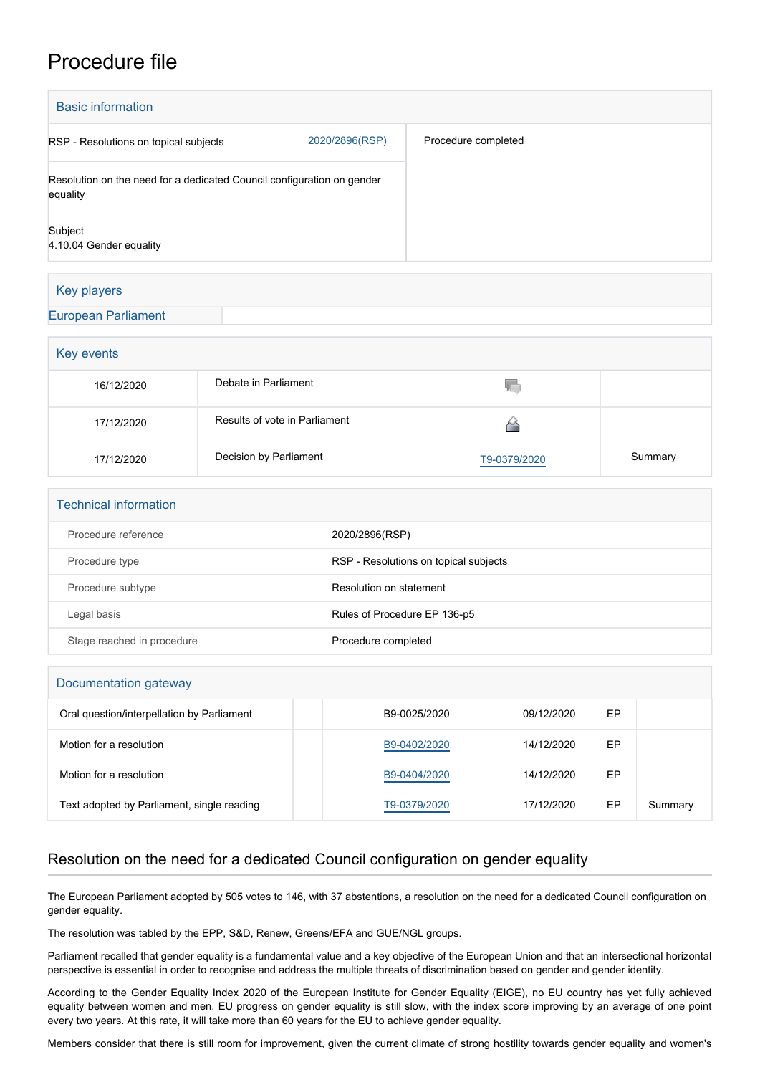## Procedure file

| <b>Basic information</b>                                                           |                |                     |
|------------------------------------------------------------------------------------|----------------|---------------------|
| RSP - Resolutions on topical subjects                                              | 2020/2896(RSP) | Procedure completed |
| Resolution on the need for a dedicated Council configuration on gender<br>equality |                |                     |
| Subject<br>4.10.04 Gender equality                                                 |                |                     |
|                                                                                    |                |                     |

## Key players

## [European Parliament](http://www.europarl.europa.eu/)

| Key events |                               |              |         |  |  |  |
|------------|-------------------------------|--------------|---------|--|--|--|
| 16/12/2020 | Debate in Parliament          | 50.          |         |  |  |  |
| 17/12/2020 | Results of vote in Parliament |              |         |  |  |  |
| 17/12/2020 | Decision by Parliament        | T9-0379/2020 | Summary |  |  |  |

| <b>Technical information</b> |                                       |  |  |  |
|------------------------------|---------------------------------------|--|--|--|
| Procedure reference          | 2020/2896(RSP)                        |  |  |  |
| Procedure type               | RSP - Resolutions on topical subjects |  |  |  |
| Procedure subtype            | Resolution on statement               |  |  |  |
| Legal basis                  | Rules of Procedure EP 136-p5          |  |  |  |
| Stage reached in procedure   | Procedure completed                   |  |  |  |

| Documentation gateway                      |              |            |    |         |  |  |
|--------------------------------------------|--------------|------------|----|---------|--|--|
| Oral question/interpellation by Parliament | B9-0025/2020 | 09/12/2020 | EP |         |  |  |
| Motion for a resolution                    | B9-0402/2020 | 14/12/2020 | EP |         |  |  |
| Motion for a resolution                    | B9-0404/2020 | 14/12/2020 | EP |         |  |  |
| Text adopted by Parliament, single reading | T9-0379/2020 | 17/12/2020 | EP | Summary |  |  |

## Resolution on the need for a dedicated Council configuration on gender equality

The European Parliament adopted by 505 votes to 146, with 37 abstentions, a resolution on the need for a dedicated Council configuration on gender equality.

The resolution was tabled by the EPP, S&D, Renew, Greens/EFA and GUE/NGL groups.

Parliament recalled that gender equality is a fundamental value and a key objective of the European Union and that an intersectional horizontal perspective is essential in order to recognise and address the multiple threats of discrimination based on gender and gender identity.

According to the Gender Equality Index 2020 of the European Institute for Gender Equality (EIGE), no EU country has yet fully achieved equality between women and men. EU progress on gender equality is still slow, with the index score improving by an average of one point every two years. At this rate, it will take more than 60 years for the EU to achieve gender equality.

Members consider that there is still room for improvement, given the current climate of strong hostility towards gender equality and women's